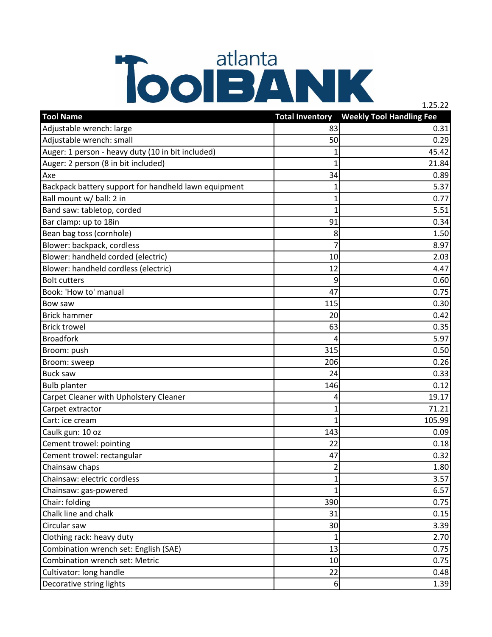## ToolBANK

1.25.22

| <b>Tool Name</b>                                     | <b>Total Inventory</b> | <b>Weekly Tool Handling Fee</b> |
|------------------------------------------------------|------------------------|---------------------------------|
| Adjustable wrench: large                             | 83                     | 0.31                            |
| Adjustable wrench: small                             | 50                     | 0.29                            |
| Auger: 1 person - heavy duty (10 in bit included)    |                        | 45.42                           |
| Auger: 2 person (8 in bit included)                  | 1                      | 21.84                           |
| Axe                                                  | 34                     | 0.89                            |
| Backpack battery support for handheld lawn equipment | 1                      | 5.37                            |
| Ball mount w/ ball: 2 in                             | 1                      | 0.77                            |
| Band saw: tabletop, corded                           | 1                      | 5.51                            |
| Bar clamp: up to 18in                                | 91                     | 0.34                            |
| Bean bag toss (cornhole)                             | 8                      | 1.50                            |
| Blower: backpack, cordless                           |                        | 8.97                            |
| Blower: handheld corded (electric)                   | 10                     | 2.03                            |
| Blower: handheld cordless (electric)                 | 12                     | 4.47                            |
| <b>Bolt cutters</b>                                  | 9                      | 0.60                            |
| Book: 'How to' manual                                | 47                     | 0.75                            |
| Bow saw                                              | 115                    | 0.30                            |
| <b>Brick hammer</b>                                  | 20                     | 0.42                            |
| <b>Brick trowel</b>                                  | 63                     | 0.35                            |
| <b>Broadfork</b>                                     | 4                      | 5.97                            |
| Broom: push                                          | 315                    | 0.50                            |
| Broom: sweep                                         | 206                    | 0.26                            |
| <b>Buck saw</b>                                      | 24                     | 0.33                            |
| <b>Bulb planter</b>                                  | 146                    | 0.12                            |
| Carpet Cleaner with Upholstery Cleaner               | 4                      | 19.17                           |
| Carpet extractor                                     | 1                      | 71.21                           |
| Cart: ice cream                                      | 1                      | 105.99                          |
| Caulk gun: 10 oz                                     | 143                    | 0.09                            |
| Cement trowel: pointing                              | 22                     | 0.18                            |
| Cement trowel: rectangular                           | 47                     | 0.32                            |
| Chainsaw chaps                                       | 2                      | 1.80                            |
| Chainsaw: electric cordless                          | 1                      | 3.57                            |
| Chainsaw: gas-powered                                |                        | 6.57                            |
| Chair: folding                                       | 390                    | 0.75                            |
| Chalk line and chalk                                 | 31                     | 0.15                            |
| Circular saw                                         | 30                     | 3.39                            |
| Clothing rack: heavy duty                            | 1                      | 2.70                            |
| Combination wrench set: English (SAE)                | 13                     | 0.75                            |
| Combination wrench set: Metric                       | 10                     | 0.75                            |
| Cultivator: long handle                              | 22                     | 0.48                            |
| Decorative string lights                             | 6                      | 1.39                            |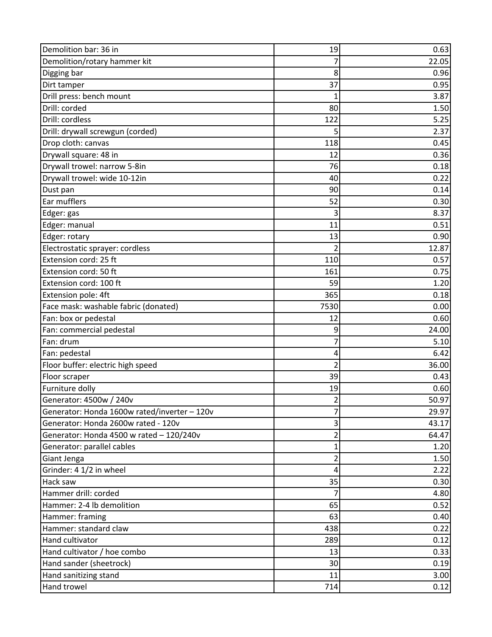| Demolition bar: 36 in                        | 19             | 0.63  |
|----------------------------------------------|----------------|-------|
| Demolition/rotary hammer kit                 |                | 22.05 |
| Digging bar                                  | 8              | 0.96  |
| Dirt tamper                                  | 37             | 0.95  |
| Drill press: bench mount                     | 1              | 3.87  |
| Drill: corded                                | 80             | 1.50  |
| Drill: cordless                              | 122            | 5.25  |
| Drill: drywall screwgun (corded)             |                | 2.37  |
| Drop cloth: canvas                           | 118            | 0.45  |
| Drywall square: 48 in                        | 12             | 0.36  |
| Drywall trowel: narrow 5-8in                 | 76             | 0.18  |
| Drywall trowel: wide 10-12in                 | 40             | 0.22  |
| Dust pan                                     | 90             | 0.14  |
| Ear mufflers                                 | 52             | 0.30  |
| Edger: gas                                   | 3              | 8.37  |
| Edger: manual                                | 11             | 0.51  |
| Edger: rotary                                | 13             | 0.90  |
| Electrostatic sprayer: cordless              |                | 12.87 |
| Extension cord: 25 ft                        | 110            | 0.57  |
| Extension cord: 50 ft                        | 161            | 0.75  |
| Extension cord: 100 ft                       | 59             | 1.20  |
| Extension pole: 4ft                          | 365            | 0.18  |
| Face mask: washable fabric (donated)         | 7530           | 0.00  |
| Fan: box or pedestal                         | 12             | 0.60  |
| Fan: commercial pedestal                     | 9              | 24.00 |
| Fan: drum                                    |                | 5.10  |
| Fan: pedestal                                | 4              | 6.42  |
| Floor buffer: electric high speed            | 2              | 36.00 |
| Floor scraper                                | 39             | 0.43  |
| Furniture dolly                              | 19             | 0.60  |
| Generator: 4500w / 240v                      | $\overline{2}$ | 50.97 |
| Generator: Honda 1600w rated/inverter - 120v | 7              | 29.97 |
| Generator: Honda 2600w rated - 120v          | 3              | 43.17 |
| Generator: Honda 4500 w rated - 120/240v     | 2              | 64.47 |
| Generator: parallel cables                   | 1              | 1.20  |
| Giant Jenga                                  | 2              | 1.50  |
| Grinder: 4 1/2 in wheel                      | 4              | 2.22  |
| Hack saw                                     | 35             | 0.30  |
| Hammer drill: corded                         |                | 4.80  |
| Hammer: 2-4 lb demolition                    | 65             | 0.52  |
| Hammer: framing                              | 63             | 0.40  |
| Hammer: standard claw                        | 438            | 0.22  |
| Hand cultivator                              | 289            | 0.12  |
| Hand cultivator / hoe combo                  | 13             | 0.33  |
| Hand sander (sheetrock)                      | 30             | 0.19  |
| Hand sanitizing stand                        | 11             | 3.00  |
| Hand trowel                                  | 714            | 0.12  |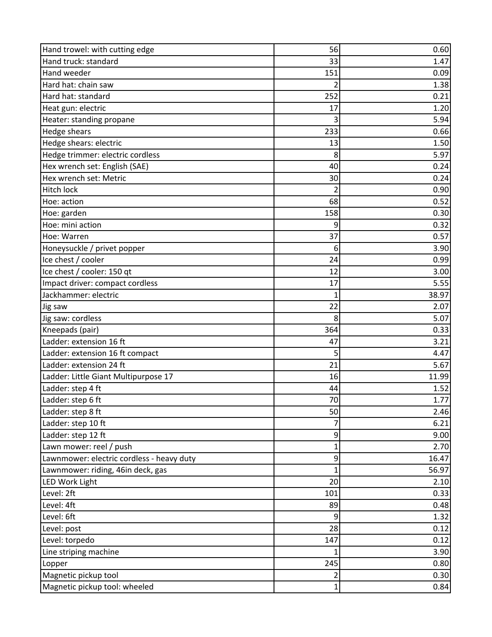| Hand trowel: with cutting edge            | 56           | 0.60  |
|-------------------------------------------|--------------|-------|
| Hand truck: standard                      | 33           | 1.47  |
| Hand weeder                               | 151          | 0.09  |
| Hard hat: chain saw                       | 2            | 1.38  |
| Hard hat: standard                        | 252          | 0.21  |
| Heat gun: electric                        | 17           | 1.20  |
| Heater: standing propane                  | 3            | 5.94  |
| Hedge shears                              | 233          | 0.66  |
| Hedge shears: electric                    | 13           | 1.50  |
| Hedge trimmer: electric cordless          | 8            | 5.97  |
| Hex wrench set: English (SAE)             | 40           | 0.24  |
| Hex wrench set: Metric                    | 30           | 0.24  |
| Hitch lock                                | 2            | 0.90  |
| Hoe: action                               | 68           | 0.52  |
| Hoe: garden                               | 158          | 0.30  |
| Hoe: mini action                          | 9            | 0.32  |
| Hoe: Warren                               | 37           | 0.57  |
| Honeysuckle / privet popper               | 6            | 3.90  |
| Ice chest / cooler                        | 24           | 0.99  |
| Ice chest / cooler: 150 qt                | 12           | 3.00  |
| Impact driver: compact cordless           | 17           | 5.55  |
| Jackhammer: electric                      | 1            | 38.97 |
| Jig saw                                   | 22           | 2.07  |
| Jig saw: cordless                         | 8            | 5.07  |
| Kneepads (pair)                           | 364          | 0.33  |
| Ladder: extension 16 ft                   | 47           | 3.21  |
| Ladder: extension 16 ft compact           | 5            | 4.47  |
| Ladder: extension 24 ft                   | 21           | 5.67  |
| Ladder: Little Giant Multipurpose 17      | 16           | 11.99 |
| Ladder: step 4 ft                         | 44           | 1.52  |
| Ladder: step 6 ft                         | 70           | 1.77  |
| Ladder: step 8 ft                         | 50           | 2.46  |
| Ladder: step 10 ft                        |              | 6.21  |
| Ladder: step 12 ft                        | 9            | 9.00  |
| Lawn mower: reel / push                   | 1            | 2.70  |
| Lawnmower: electric cordless - heavy duty | 9            | 16.47 |
| Lawnmower: riding, 46in deck, gas         | $\mathbf{1}$ | 56.97 |
| LED Work Light                            | 20           | 2.10  |
| Level: 2ft                                | 101          | 0.33  |
| Level: 4ft                                | 89           | 0.48  |
| Level: 6ft                                | 9            | 1.32  |
| Level: post                               | 28           | 0.12  |
| Level: torpedo                            | 147          | 0.12  |
| Line striping machine                     |              | 3.90  |
| Lopper                                    | 245          | 0.80  |
| Magnetic pickup tool                      | 2            | 0.30  |
| Magnetic pickup tool: wheeled             | 1            | 0.84  |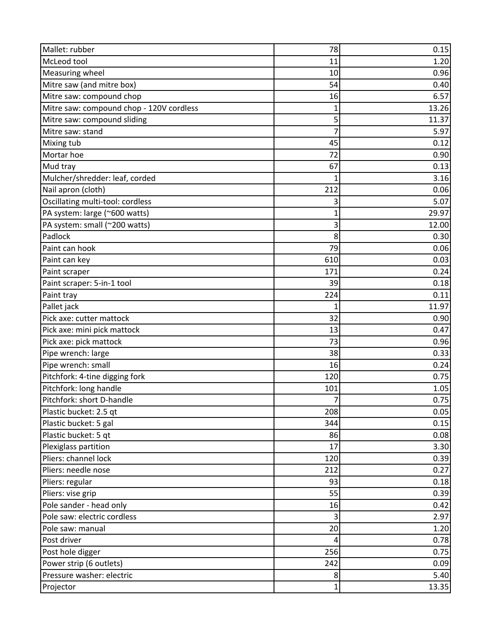| Mallet: rubber                           | 78           | 0.15  |
|------------------------------------------|--------------|-------|
| McLeod tool                              | 11           | 1.20  |
| Measuring wheel                          | 10           | 0.96  |
| Mitre saw (and mitre box)                | 54           | 0.40  |
| Mitre saw: compound chop                 | 16           | 6.57  |
| Mitre saw: compound chop - 120V cordless | 1            | 13.26 |
| Mitre saw: compound sliding              | 5            | 11.37 |
| Mitre saw: stand                         | 7            | 5.97  |
| Mixing tub                               | 45           | 0.12  |
| Mortar hoe                               | 72           | 0.90  |
| Mud tray                                 | 67           | 0.13  |
| Mulcher/shredder: leaf, corded           | 1            | 3.16  |
| Nail apron (cloth)                       | 212          | 0.06  |
| Oscillating multi-tool: cordless         | 3            | 5.07  |
| PA system: large (~600 watts)            | 1            | 29.97 |
| PA system: small (~200 watts)            | 3            | 12.00 |
| Padlock                                  | 8            | 0.30  |
| Paint can hook                           | 79           | 0.06  |
| Paint can key                            | 610          | 0.03  |
| Paint scraper                            | 171          | 0.24  |
| Paint scraper: 5-in-1 tool               | 39           | 0.18  |
| Paint tray                               | 224          | 0.11  |
| Pallet jack                              | $\mathbf{1}$ | 11.97 |
| Pick axe: cutter mattock                 | 32           | 0.90  |
| Pick axe: mini pick mattock              | 13           | 0.47  |
| Pick axe: pick mattock                   | 73           | 0.96  |
| Pipe wrench: large                       | 38           | 0.33  |
| Pipe wrench: small                       | 16           | 0.24  |
| Pitchfork: 4-tine digging fork           | 120          | 0.75  |
| Pitchfork: long handle                   | 101          | 1.05  |
| Pitchfork: short D-handle                | 7            | 0.75  |
| Plastic bucket: 2.5 qt                   | 208          | 0.05  |
| Plastic bucket: 5 gal                    | 344          | 0.15  |
| Plastic bucket: 5 qt                     | 86           | 0.08  |
| Plexiglass partition                     | 17           | 3.30  |
| Pliers: channel lock                     | 120          | 0.39  |
| Pliers: needle nose                      | 212          | 0.27  |
| Pliers: regular                          | 93           | 0.18  |
| Pliers: vise grip                        | 55           | 0.39  |
| Pole sander - head only                  | 16           | 0.42  |
| Pole saw: electric cordless              | 3            | 2.97  |
| Pole saw: manual                         | 20           | 1.20  |
| Post driver                              | 4            | 0.78  |
| Post hole digger                         | 256          | 0.75  |
| Power strip (6 outlets)                  | 242          | 0.09  |
| Pressure washer: electric                | 8            | 5.40  |
| Projector                                | $\mathbf 1$  | 13.35 |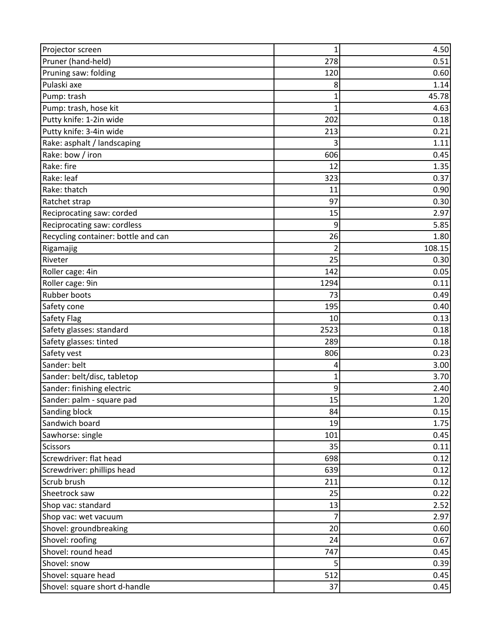| Projector screen                    | $\mathbf{1}$   | 4.50   |
|-------------------------------------|----------------|--------|
| Pruner (hand-held)                  | 278            | 0.51   |
| Pruning saw: folding                | 120            | 0.60   |
| Pulaski axe                         | 8              | 1.14   |
| Pump: trash                         |                | 45.78  |
| Pump: trash, hose kit               | 1              | 4.63   |
| Putty knife: 1-2in wide             | 202            | 0.18   |
| Putty knife: 3-4in wide             | 213            | 0.21   |
| Rake: asphalt / landscaping         | 3              | 1.11   |
| Rake: bow / iron                    | 606            | 0.45   |
| Rake: fire                          | 12             | 1.35   |
| Rake: leaf                          | 323            | 0.37   |
| Rake: thatch                        | 11             | 0.90   |
| Ratchet strap                       | 97             | 0.30   |
| Reciprocating saw: corded           | 15             | 2.97   |
| Reciprocating saw: cordless         | 9              | 5.85   |
| Recycling container: bottle and can | 26             | 1.80   |
| Rigamajig                           | $\overline{2}$ | 108.15 |
| Riveter                             | 25             | 0.30   |
| Roller cage: 4in                    | 142            | 0.05   |
| Roller cage: 9in                    | 1294           | 0.11   |
| Rubber boots                        | 73             | 0.49   |
| Safety cone                         | 195            | 0.40   |
| <b>Safety Flag</b>                  | 10             | 0.13   |
| Safety glasses: standard            | 2523           | 0.18   |
| Safety glasses: tinted              | 289            | 0.18   |
| Safety vest                         | 806            | 0.23   |
| Sander: belt                        | 4              | 3.00   |
| Sander: belt/disc, tabletop         | 1              | 3.70   |
| Sander: finishing electric          | 9              | 2.40   |
| Sander: palm - square pad           | 15             | 1.20   |
| Sanding block                       | 84             | 0.15   |
| Sandwich board                      | 19             | 1.75   |
| Sawhorse: single                    | 101            | 0.45   |
| <b>Scissors</b>                     | 35             | 0.11   |
| Screwdriver: flat head              | 698            | 0.12   |
| Screwdriver: phillips head          | 639            | 0.12   |
| Scrub brush                         | 211            | 0.12   |
| Sheetrock saw                       | 25             | 0.22   |
| Shop vac: standard                  | 13             | 2.52   |
| Shop vac: wet vacuum                |                | 2.97   |
| Shovel: groundbreaking              | 20             | 0.60   |
| Shovel: roofing                     | 24             | 0.67   |
| Shovel: round head                  | 747            | 0.45   |
| Shovel: snow                        | 5              | 0.39   |
| Shovel: square head                 | 512            | 0.45   |
| Shovel: square short d-handle       | 37             | 0.45   |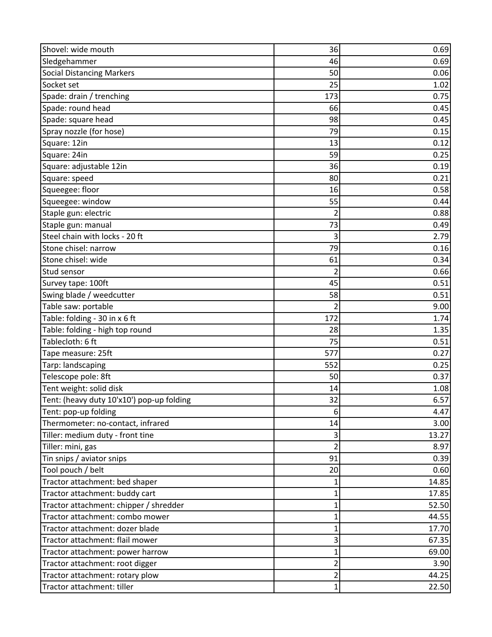| Shovel: wide mouth                        | 36             | 0.69  |
|-------------------------------------------|----------------|-------|
| Sledgehammer                              | 46             | 0.69  |
| <b>Social Distancing Markers</b>          | 50             | 0.06  |
| Socket set                                | 25             | 1.02  |
| Spade: drain / trenching                  | 173            | 0.75  |
| Spade: round head                         | 66             | 0.45  |
| Spade: square head                        | 98             | 0.45  |
| Spray nozzle (for hose)                   | 79             | 0.15  |
| Square: 12in                              | 13             | 0.12  |
| Square: 24in                              | 59             | 0.25  |
| Square: adjustable 12in                   | 36             | 0.19  |
| Square: speed                             | 80             | 0.21  |
| Squeegee: floor                           | 16             | 0.58  |
| Squeegee: window                          | 55             | 0.44  |
| Staple gun: electric                      |                | 0.88  |
| Staple gun: manual                        | 73             | 0.49  |
| Steel chain with locks - 20 ft            | 3              | 2.79  |
| Stone chisel: narrow                      | 79             | 0.16  |
| Stone chisel: wide                        | 61             | 0.34  |
| Stud sensor                               | 2              | 0.66  |
| Survey tape: 100ft                        | 45             | 0.51  |
| Swing blade / weedcutter                  | 58             | 0.51  |
| Table saw: portable                       | $\mathfrak{p}$ | 9.00  |
| Table: folding - 30 in x 6 ft             | 172            | 1.74  |
| Table: folding - high top round           | 28             | 1.35  |
| Tablecloth: 6 ft                          | 75             | 0.51  |
| Tape measure: 25ft                        | 577            | 0.27  |
| Tarp: landscaping                         | 552            | 0.25  |
| Telescope pole: 8ft                       | 50             | 0.37  |
| Tent weight: solid disk                   | 14             | 1.08  |
| Tent: (heavy duty 10'x10') pop-up folding | 32             | 6.57  |
| Tent: pop-up folding                      | 6              | 4.47  |
| Thermometer: no-contact, infrared         | 14             | 3.00  |
| Tiller: medium duty - front tine          | 3              | 13.27 |
| Tiller: mini, gas                         | $\overline{2}$ | 8.97  |
| Tin snips / aviator snips                 | 91             | 0.39  |
| Tool pouch / belt                         | 20             | 0.60  |
| Tractor attachment: bed shaper            |                | 14.85 |
| Tractor attachment: buddy cart            |                | 17.85 |
| Tractor attachment: chipper / shredder    | 1              | 52.50 |
| Tractor attachment: combo mower           | 1              | 44.55 |
| Tractor attachment: dozer blade           | 1              | 17.70 |
| Tractor attachment: flail mower           | 3              | 67.35 |
| Tractor attachment: power harrow          | 1              | 69.00 |
| Tractor attachment: root digger           | $\overline{2}$ | 3.90  |
| Tractor attachment: rotary plow           | $\overline{2}$ | 44.25 |
| Tractor attachment: tiller                | 1              | 22.50 |